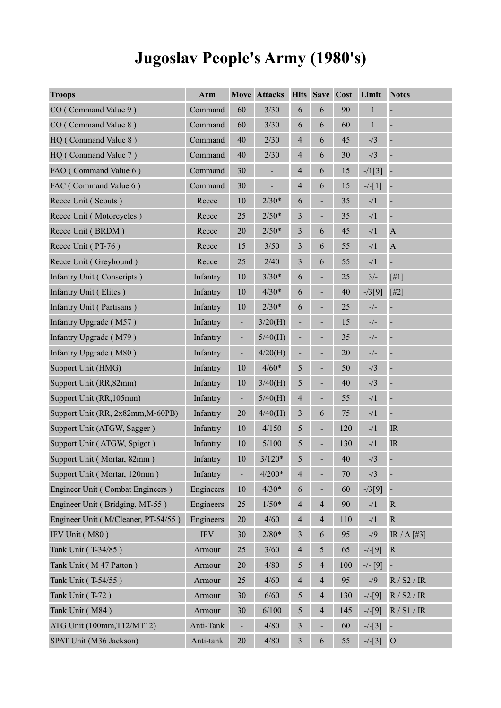# **Jugoslav People's Army (1980's)**

| <b>Troops</b>                       | <b>Arm</b> |                          | <b>Move Attacks</b> |                | <b>Hits Save Cost</b> |     | Limit       | <b>Notes</b>                      |
|-------------------------------------|------------|--------------------------|---------------------|----------------|-----------------------|-----|-------------|-----------------------------------|
| CO (Command Value 9)                | Command    | 60                       | 3/30                | 6              | 6                     | 90  | $\mathbf 1$ |                                   |
| CO (Command Value 8)                | Command    | 60                       | 3/30                | 6              | 6                     | 60  | $\mathbf 1$ | $\blacksquare$                    |
| HQ (Command Value 8)                | Command    | 40                       | 2/30                | $\overline{4}$ | 6                     | 45  | $-1/3$      | $\blacksquare$                    |
| HQ (Command Value 7)                | Command    | 40                       | 2/30                | $\overline{4}$ | 6                     | 30  | $-13$       | $\blacksquare$                    |
| FAO (Command Value 6)               | Command    | 30                       | $\overline{a}$      | $\overline{4}$ | 6                     | 15  | $-1[3]$     |                                   |
| FAC (Command Value 6)               | Command    | 30                       |                     | $\overline{4}$ | 6                     | 15  | $-/-[1]$    |                                   |
| Recce Unit (Scouts)                 | Recce      | 10                       | $2/30*$             | 6              |                       | 35  | $-1/1$      | $\blacksquare$                    |
| Recce Unit (Motorcycles)            | Recce      | 25                       | $2/50*$             | 3              |                       | 35  | $-1/1$      | $\blacksquare$                    |
| Recce Unit (BRDM)                   | Recce      | 20                       | $2/50*$             | 3              | 6                     | 45  | $-1/1$      | $\mathbf A$                       |
| Recce Unit (PT-76)                  | Recce      | 15                       | 3/50                | 3              | 6                     | 55  | $-1/1$      | $\mathbf A$                       |
| Recce Unit (Greyhound)              | Recce      | 25                       | 2/40                | 3              | 6                     | 55  | $-1/1$      | -                                 |
| Infantry Unit (Conscripts)          | Infantry   | 10                       | $3/30*$             | 6              |                       | 25  | $3/-$       | $[#1]$                            |
| Infantry Unit (Elites)              | Infantry   | 10                       | $4/30*$             | 6              |                       | 40  | $-73[9]$    | $[$ #2]                           |
| Infantry Unit (Partisans)           | Infantry   | $10\,$                   | $2/30*$             | 6              |                       | 25  | $-/-$       |                                   |
| Infantry Upgrade (M57)              | Infantry   | $\frac{1}{2}$            | 3/20(H)             |                |                       | 15  | $-/-$       | $\blacksquare$                    |
| Infantry Upgrade (M79)              | Infantry   | $\frac{1}{2}$            | 5/40(H)             |                |                       | 35  | $-/-$       | $\blacksquare$                    |
| Infantry Upgrade (M80)              | Infantry   | $\blacksquare$           | 4/20(H)             | ÷,             |                       | 20  | $-/-$       | $\blacksquare$                    |
| Support Unit (HMG)                  | Infantry   | 10                       | $4/60*$             | $\mathfrak{S}$ |                       | 50  | $-1/3$      | $\blacksquare$                    |
| Support Unit (RR, 82mm)             | Infantry   | 10                       | 3/40(H)             | 5              |                       | 40  | $-1/3$      | $\blacksquare$                    |
| Support Unit (RR, 105mm)            | Infantry   | ÷                        | 5/40(H)             | $\overline{4}$ | ÷,                    | 55  | $-1/1$      | $\blacksquare$                    |
| Support Unit (RR, 2x82mm, M-60PB)   | Infantry   | 20                       | 4/40(H)             | $\mathfrak{Z}$ | 6                     | 75  | $-1/1$      | $\blacksquare$                    |
| Support Unit (ATGW, Sagger)         | Infantry   | 10                       | 4/150               | $\mathfrak{S}$ | $\blacksquare$        | 120 | $-1/1$      | IR                                |
| Support Unit (ATGW, Spigot)         | Infantry   | 10                       | 5/100               | 5              |                       | 130 | $-1/1$      | $\ensuremath{\mathsf{IR}}\xspace$ |
| Support Unit (Mortar, 82mm)         | Infantry   | 10                       | $3/120*$            | 5              |                       | 40  | $-13$       |                                   |
| Support Unit (Mortar, 120mm)        | Infantry   | $\overline{\phantom{0}}$ | $4/200*$            | $\overline{4}$ |                       | 70  | $- / 3$     |                                   |
| Engineer Unit (Combat Engineers)    | Engineers  | $10\,$                   | $4/30*$             | 6              |                       | 60  | $-73[9]$    |                                   |
| Engineer Unit (Bridging, MT-55)     | Engineers  | 25                       | $1/50*$             | $\overline{4}$ | $\overline{4}$        | 90  | $-1/1$      | ${\bf R}$                         |
| Engineer Unit (M/Cleaner, PT-54/55) | Engineers  | 20                       | 4/60                | $\overline{4}$ | $\overline{4}$        | 110 | $-1/1$      | $\mathbf R$                       |
| IFV Unit (M80)                      | <b>IFV</b> | 30                       | $2/80*$             | $\mathfrak{Z}$ | 6                     | 95  | $-$ /9      | IR / $A$ [#3]                     |
| Tank Unit (T-34/85)                 | Armour     | 25                       | $3/60$              | $\overline{4}$ | 5                     | 65  | $-/-[9]$    | ${\bf R}$                         |
| Tank Unit (M47 Patton)              | Armour     | 20                       | 4/80                | 5              | $\overline{4}$        | 100 | $-/- [9]$   |                                   |
| Tank Unit (T-54/55)                 | Armour     | 25                       | 4/60                | $\overline{4}$ | $\overline{4}$        | 95  | $-1/9$      | R / S2 / IR                       |
| Tank Unit (T-72)                    | Armour     | 30                       | 6/60                | 5              | $\overline{4}$        | 130 | $-/-[9]$    | R / S2 / IR                       |
| Tank Unit (M84)                     | Armour     | 30                       | 6/100               | 5              | $\overline{4}$        | 145 | $-/-[9]$    | R / S1 / IR                       |
| ATG Unit (100mm, T12/MT12)          | Anti-Tank  | ÷,                       | 4/80                | $\mathfrak{Z}$ |                       | 60  | $-/-[3]$    |                                   |
| SPAT Unit (M36 Jackson)             | Anti-tank  | 20                       | 4/80                | $\overline{3}$ | 6                     | 55  | $-/-[3]$ O  |                                   |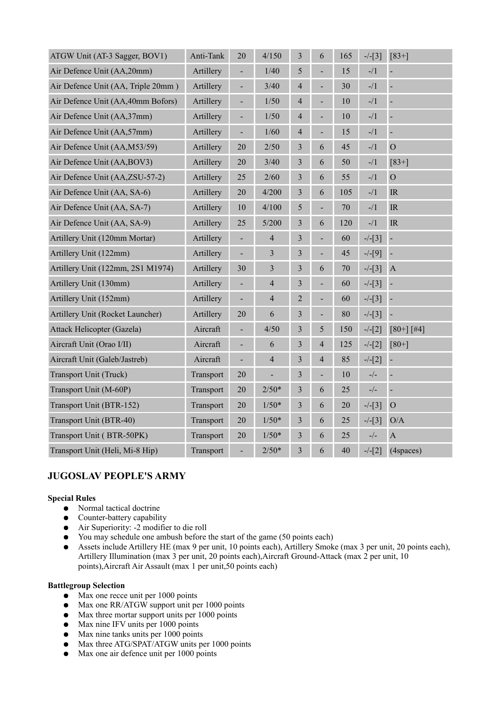| ATGW Unit (AT-3 Sagger, BOV1)      | Anti-Tank | 20                       | 4/150                    | 3                       | 6              | 165    | $-/-[3]$                                  | $[83+]$                           |
|------------------------------------|-----------|--------------------------|--------------------------|-------------------------|----------------|--------|-------------------------------------------|-----------------------------------|
| Air Defence Unit (AA,20mm)         | Artillery | $\overline{\phantom{0}}$ | 1/40                     | 5                       |                | 15     | $-1/1$                                    |                                   |
| Air Defence Unit (AA, Triple 20mm) | Artillery | ÷,                       | 3/40                     | $\overline{4}$          |                | 30     | $-1/1$                                    |                                   |
| Air Defence Unit (AA,40mm Bofors)  | Artillery | $\blacksquare$           | 1/50                     | 4                       |                | 10     | $-1/1$                                    | ÷,                                |
| Air Defence Unit (AA,37mm)         | Artillery | ÷,                       | 1/50                     | 4                       |                | 10     | $-1/1$                                    | $\overline{a}$                    |
| Air Defence Unit (AA,57mm)         | Artillery | $\blacksquare$           | $1/60$                   | 4                       | -              | 15     | $-1/1$                                    | $\overline{\phantom{a}}$          |
| Air Defence Unit (AA,M53/59)       | Artillery | 20                       | 2/50                     | 3                       | 6              | 45     | $-1/1$                                    | $\overline{O}$                    |
| Air Defence Unit (AA, BOV3)        | Artillery | 20                       | 3/40                     | $\overline{\mathbf{3}}$ | 6              | 50     | $-1/1$                                    | $[83+]$                           |
| Air Defence Unit (AA,ZSU-57-2)     | Artillery | 25                       | 2/60                     | 3                       | 6              | 55     | $-1/1$                                    | $\mathcal{O}$                     |
| Air Defence Unit (AA, SA-6)        | Artillery | 20                       | 4/200                    | $\overline{\mathbf{3}}$ | 6              | 105    | $-1/1$                                    | IR                                |
| Air Defence Unit (AA, SA-7)        | Artillery | $10\,$                   | 4/100                    | 5                       | ÷,             | 70     | $-1/1$                                    | $\ensuremath{\mathsf{IR}}\xspace$ |
| Air Defence Unit (AA, SA-9)        | Artillery | 25                       | 5/200                    | 3                       | 6              | 120    | $-1/1$                                    | IR                                |
| Artillery Unit (120mm Mortar)      | Artillery | $\overline{\phantom{0}}$ | $\overline{4}$           | $\mathfrak{Z}$          | ÷,             | 60     | $-/-[3]$                                  | $\overline{\phantom{a}}$          |
| Artillery Unit (122mm)             | Artillery | $\overline{\phantom{0}}$ | $\mathfrak{Z}$           | 3                       | -              | 45     | $-/-[9]$                                  | ÷                                 |
| Artillery Unit (122mm, 2S1 M1974)  | Artillery | 30                       | 3                        | 3                       | 6              | 70     | $-/-[3]$                                  | $\mathbf{A}$                      |
| Artillery Unit (130mm)             | Artillery |                          | $\overline{4}$           | 3                       | -              | 60     | $-/-[3]$                                  |                                   |
| Artillery Unit (152mm)             | Artillery | ÷,                       | $\overline{4}$           | $\overline{2}$          |                | 60     | $-/-[3]$                                  |                                   |
| Artillery Unit (Rocket Launcher)   | Artillery | 20                       | 6                        | $\overline{\mathbf{3}}$ | $\blacksquare$ | 80     | $-/-[3]$                                  | $\blacksquare$                    |
| Attack Helicopter (Gazela)         | Aircraft  | ÷,                       | 4/50                     | 3                       | 5              | 150    | $-/-[2]$                                  | $[80+]$ [#4]                      |
| Aircraft Unit (Orao I/II)          | Aircraft  | $\blacksquare$           | 6                        | 3                       | 4              | 125    | $-/-[2]$                                  | $[80+]$                           |
| Aircraft Unit (Galeb/Jastreb)      | Aircraft  |                          | $\overline{4}$           | $\overline{\mathbf{3}}$ | $\overline{4}$ | 85     | $-/-[2]$                                  |                                   |
| Transport Unit (Truck)             | Transport | 20                       | $\overline{\phantom{0}}$ | 3                       | ÷,             | 10     | $\frac{\ }{2}\Big/ -$                     | $\blacksquare$                    |
| Transport Unit (M-60P)             | Transport | 20                       | $2/50*$                  | 3                       | 6              | 25     | $\mathord{\text{--}}/\mathord{\text{--}}$ | $\overline{a}$                    |
| Transport Unit (BTR-152)           | Transport | 20                       | $1/50*$                  | 3                       | 6              | $20\,$ | $-/-[3]$                                  | $\mathcal{O}$                     |
| Transport Unit (BTR-40)            | Transport | 20                       | $1/50*$                  | 3                       | 6              | 25     | $-/-[3]$                                  | O/A                               |
| Transport Unit (BTR-50PK)          | Transport | 20                       | $1/50*$                  | 3                       | 6              | 25     | $\mathord{\text{--}}/\mathord{\text{--}}$ | $\mathbf{A}$                      |
| Transport Unit (Heli, Mi-8 Hip)    | Transport | $\overline{\phantom{0}}$ | $2/50*$                  | 3                       | 6              | 40     | $-/-[2]$                                  | (4spaces)                         |

# **JUGOSLAV PEOPLE'S ARMY**

### **Special Rules**

- Normal tactical doctrine
- Counter-battery capability
- Air Superiority: -2 modifier to die roll
- You may schedule one ambush before the start of the game (50 points each)
- Assets include Artillery HE (max 9 per unit, 10 points each), Artillery Smoke (max 3 per unit, 20 points each), Artillery Illumination (max 3 per unit, 20 points each),Aircraft Ground-Attack (max 2 per unit, 10 points),Aircraft Air Assault (max 1 per unit,50 points each)

## **Battlegroup Selection**

- Max one recce unit per 1000 points
- Max one RR/ATGW support unit per 1000 points
- Max three mortar support units per 1000 points
- Max nine IFV units per 1000 points
- Max nine tanks units per 1000 points
- Max three ATG/SPAT/ATGW units per 1000 points
- Max one air defence unit per 1000 points